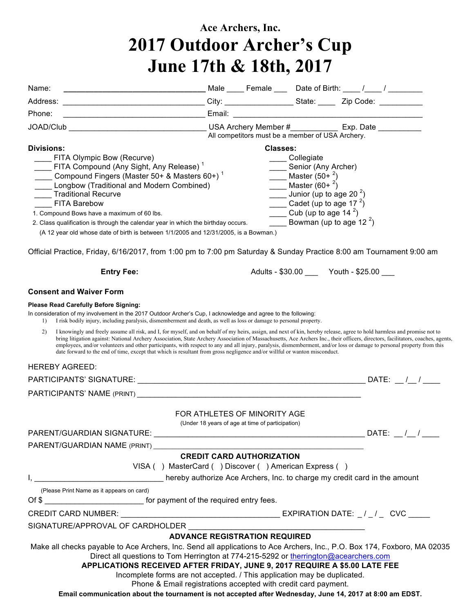## **Ace Archers, Inc. 2017 Outdoor Archer's Cup June 17th & 18th, 2017**

| Name:                                                                                                                                                                                                                                                                                                                                                                                                                                                                                                                                                                                                                                                                                                                                                                                                                                                                                                                                                                               |                                                                                           |                                                  |                                                                                                                                         |                                                                                                  |  |  |
|-------------------------------------------------------------------------------------------------------------------------------------------------------------------------------------------------------------------------------------------------------------------------------------------------------------------------------------------------------------------------------------------------------------------------------------------------------------------------------------------------------------------------------------------------------------------------------------------------------------------------------------------------------------------------------------------------------------------------------------------------------------------------------------------------------------------------------------------------------------------------------------------------------------------------------------------------------------------------------------|-------------------------------------------------------------------------------------------|--------------------------------------------------|-----------------------------------------------------------------------------------------------------------------------------------------|--------------------------------------------------------------------------------------------------|--|--|
|                                                                                                                                                                                                                                                                                                                                                                                                                                                                                                                                                                                                                                                                                                                                                                                                                                                                                                                                                                                     |                                                                                           |                                                  |                                                                                                                                         |                                                                                                  |  |  |
| Phone:                                                                                                                                                                                                                                                                                                                                                                                                                                                                                                                                                                                                                                                                                                                                                                                                                                                                                                                                                                              |                                                                                           |                                                  |                                                                                                                                         |                                                                                                  |  |  |
|                                                                                                                                                                                                                                                                                                                                                                                                                                                                                                                                                                                                                                                                                                                                                                                                                                                                                                                                                                                     |                                                                                           | All competitors must be a member of USA Archery. |                                                                                                                                         |                                                                                                  |  |  |
| <b>Divisions:</b><br>FITA Olympic Bow (Recurve)<br>FITA Compound (Any Sight, Any Release) <sup>1</sup><br>Compound Fingers (Master 50+ & Masters 60+) <sup>1</sup><br>Longbow (Traditional and Modern Combined)<br>____ Traditional Recurve<br><b>FITA Barebow</b><br>1. Compound Bows have a maximum of 60 lbs.<br>2. Class qualification is through the calendar year in which the birthday occurs.<br>(A 12 year old whose date of birth is between 1/1/2005 and 12/31/2005, is a Bowman.)<br>Official Practice, Friday, 6/16/2017, from 1:00 pm to 7:00 pm Saturday & Sunday Practice 8:00 am Tournament 9:00 am                                                                                                                                                                                                                                                                                                                                                                |                                                                                           | <b>Classes:</b>                                  | ____ Collegiate<br>_____ Senior (Any Archer)<br><b>Master</b> $(50+^2)$<br><b>Master</b> $(60 + \frac{2}{1})$<br>Cub (up to age $142$ ) | Junior (up to age 20 $^2$ )<br>Cadet (up to age 17 <sup>2</sup> )<br>Bowman (up to age 12 $^2$ ) |  |  |
| <b>Entry Fee:</b>                                                                                                                                                                                                                                                                                                                                                                                                                                                                                                                                                                                                                                                                                                                                                                                                                                                                                                                                                                   |                                                                                           | Adults - \$30.00 ______ Youth - \$25.00 ____     |                                                                                                                                         |                                                                                                  |  |  |
| <b>Consent and Waiver Form</b>                                                                                                                                                                                                                                                                                                                                                                                                                                                                                                                                                                                                                                                                                                                                                                                                                                                                                                                                                      |                                                                                           |                                                  |                                                                                                                                         |                                                                                                  |  |  |
| <b>Please Read Carefully Before Signing:</b><br>In consideration of my involvement in the 2017 Outdoor Archer's Cup, I acknowledge and agree to the following:<br>I risk bodily injury, including paralysis, dismemberment and death, as well as loss or damage to personal property.<br>$\mathbf{D}$<br>I knowingly and freely assume all risk, and I, for myself, and on behalf of my heirs, assign, and next of kin, hereby release, agree to hold harmless and promise not to<br>2)<br>bring litigation against: National Archery Association, State Archery Association of Massachusetts, Ace Archers Inc., their officers, directors, facilitators, coaches, agents,<br>employees, and/or volunteers and other participants, with respect to any and all injury, paralysis, dismemberment, and/or loss or damage to personal property from this<br>date forward to the end of time, except that which is resultant from gross negligence and/or willful or wanton misconduct. |                                                                                           |                                                  |                                                                                                                                         |                                                                                                  |  |  |
| <b>HEREBY AGREED:</b>                                                                                                                                                                                                                                                                                                                                                                                                                                                                                                                                                                                                                                                                                                                                                                                                                                                                                                                                                               |                                                                                           |                                                  |                                                                                                                                         |                                                                                                  |  |  |
|                                                                                                                                                                                                                                                                                                                                                                                                                                                                                                                                                                                                                                                                                                                                                                                                                                                                                                                                                                                     |                                                                                           |                                                  |                                                                                                                                         |                                                                                                  |  |  |
| <b>PARTICIPANTS' NAME (PRINT)</b>                                                                                                                                                                                                                                                                                                                                                                                                                                                                                                                                                                                                                                                                                                                                                                                                                                                                                                                                                   |                                                                                           |                                                  |                                                                                                                                         |                                                                                                  |  |  |
|                                                                                                                                                                                                                                                                                                                                                                                                                                                                                                                                                                                                                                                                                                                                                                                                                                                                                                                                                                                     | FOR ATHLETES OF MINORITY AGE<br>(Under 18 years of age at time of participation)          |                                                  |                                                                                                                                         |                                                                                                  |  |  |
|                                                                                                                                                                                                                                                                                                                                                                                                                                                                                                                                                                                                                                                                                                                                                                                                                                                                                                                                                                                     |                                                                                           |                                                  |                                                                                                                                         |                                                                                                  |  |  |
| PARENT/GUARDIAN NAME (PRINT)                                                                                                                                                                                                                                                                                                                                                                                                                                                                                                                                                                                                                                                                                                                                                                                                                                                                                                                                                        |                                                                                           |                                                  |                                                                                                                                         |                                                                                                  |  |  |
|                                                                                                                                                                                                                                                                                                                                                                                                                                                                                                                                                                                                                                                                                                                                                                                                                                                                                                                                                                                     | <b>CREDIT CARD AUTHORIZATION</b><br>VISA () MasterCard () Discover () American Express () |                                                  |                                                                                                                                         |                                                                                                  |  |  |
|                                                                                                                                                                                                                                                                                                                                                                                                                                                                                                                                                                                                                                                                                                                                                                                                                                                                                                                                                                                     |                                                                                           |                                                  |                                                                                                                                         |                                                                                                  |  |  |
| (Please Print Name as it appears on card)                                                                                                                                                                                                                                                                                                                                                                                                                                                                                                                                                                                                                                                                                                                                                                                                                                                                                                                                           |                                                                                           |                                                  |                                                                                                                                         |                                                                                                  |  |  |
| Of \$                                                                                                                                                                                                                                                                                                                                                                                                                                                                                                                                                                                                                                                                                                                                                                                                                                                                                                                                                                               |                                                                                           |                                                  |                                                                                                                                         |                                                                                                  |  |  |
|                                                                                                                                                                                                                                                                                                                                                                                                                                                                                                                                                                                                                                                                                                                                                                                                                                                                                                                                                                                     |                                                                                           |                                                  |                                                                                                                                         |                                                                                                  |  |  |
| SIGNATURE/APPROVAL OF CARDHOLDER NAMEL AND THE STATE OF STATE STATE OF STATE STATE OF STATE STATE OF STATE STA                                                                                                                                                                                                                                                                                                                                                                                                                                                                                                                                                                                                                                                                                                                                                                                                                                                                      |                                                                                           |                                                  |                                                                                                                                         |                                                                                                  |  |  |
|                                                                                                                                                                                                                                                                                                                                                                                                                                                                                                                                                                                                                                                                                                                                                                                                                                                                                                                                                                                     | <b>ADVANCE REGISTRATION REQUIRED</b>                                                      |                                                  |                                                                                                                                         |                                                                                                  |  |  |
| Make all checks payable to Ace Archers, Inc. Send all applications to Ace Archers, Inc., P.O. Box 174, Foxboro, MA 02035<br>Direct all questions to Tom Herrington at 774-215-5292 or therrington@acearchers.com<br>APPLICATIONS RECEIVED AFTER FRIDAY, JUNE 9, 2017 REQUIRE A \$5.00 LATE FEE                                                                                                                                                                                                                                                                                                                                                                                                                                                                                                                                                                                                                                                                                      |                                                                                           |                                                  |                                                                                                                                         |                                                                                                  |  |  |
| Incomplete forms are not accepted. / This application may be duplicated.                                                                                                                                                                                                                                                                                                                                                                                                                                                                                                                                                                                                                                                                                                                                                                                                                                                                                                            |                                                                                           |                                                  |                                                                                                                                         |                                                                                                  |  |  |
| Phone & Email registrations accepted with credit card payment.<br>Email communication about the tournament is not accepted after Wednesday, June 14, 2017 at 8:00 am EDST.                                                                                                                                                                                                                                                                                                                                                                                                                                                                                                                                                                                                                                                                                                                                                                                                          |                                                                                           |                                                  |                                                                                                                                         |                                                                                                  |  |  |